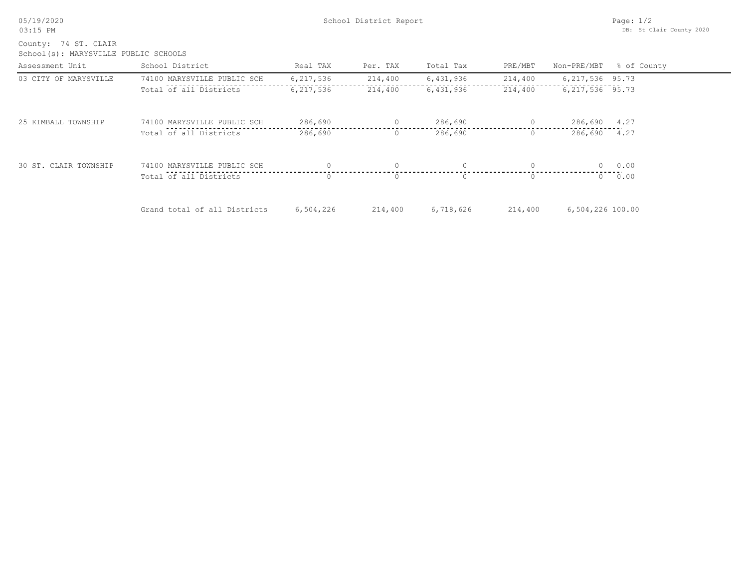05/19/2020 03:15 PM

School(s): MARYSVILLE PUBLIC SCHOOLS County: 74 ST. CLAIR

| Assessment Unit       | School District              | Real TAX  | Per. TAX | Total Tax | PRE/MBT  |                   | Non-PRE/MBT % of County |
|-----------------------|------------------------------|-----------|----------|-----------|----------|-------------------|-------------------------|
| 03 CITY OF MARYSVILLE | 74100 MARYSVILLE PUBLIC SCH  | 6,217,536 | 214,400  | 6,431,936 | 214,400  | 6, 217, 536 95.73 |                         |
|                       | Total of all Districts       | 6,217,536 | 214,400  | 6,431,936 | 214,400  | 6, 217, 536 95.73 |                         |
| 25 KIMBALL TOWNSHIP   | 74100 MARYSVILLE PUBLIC SCH  | 286,690   | $\circ$  | 286,690   | $\circ$  | 286,690           | 4.27                    |
|                       | Total of all Districts       | 286,690   | $\circ$  | 286,690   | $\circ$  | 286,690 4.27      |                         |
| 30 ST. CLAIR TOWNSHIP | 74100 MARYSVILLE PUBLIC SCH  |           |          |           | $\Omega$ | $\Omega$          | 0.00                    |
|                       | Total of all Districts       |           | $\Omega$ | $\Omega$  | $\Omega$ | $\Omega$          | 0.00                    |
|                       | Grand total of all Districts | 6,504,226 | 214,400  | 6,718,626 | 214,400  | 6,504,226 100.00  |                         |